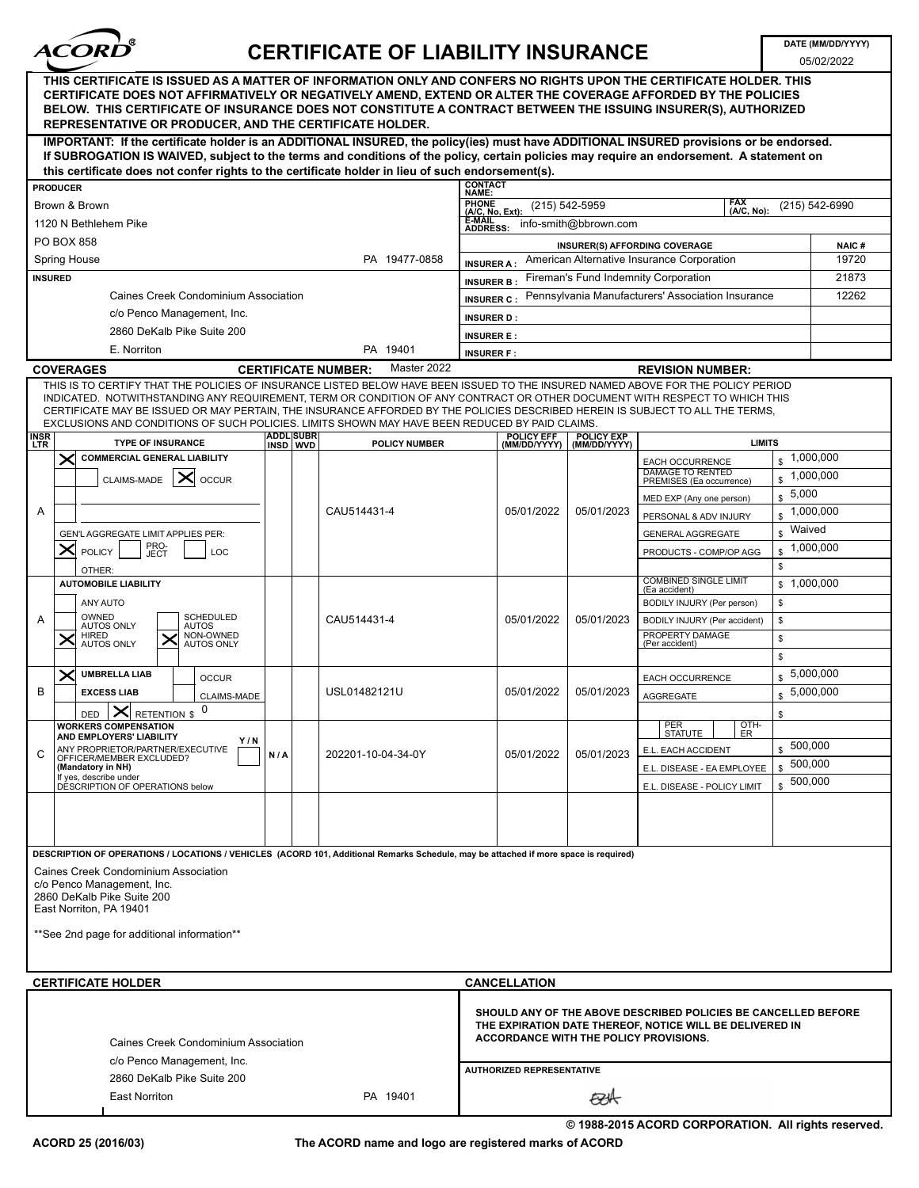

## **CERTIFICATE OF LIABILITY INSURANCE**

DATE (MM/DD/YYYY) 05/02/2022

| THIS CERTIFICATE IS ISSUED AS A MATTER OF INFORMATION ONLY AND CONFERS NO RIGHTS UPON THE CERTIFICATE HOLDER. THIS<br>CERTIFICATE DOES NOT AFFIRMATIVELY OR NEGATIVELY AMEND, EXTEND OR ALTER THE COVERAGE AFFORDED BY THE POLICIES<br>BELOW. THIS CERTIFICATE OF INSURANCE DOES NOT CONSTITUTE A CONTRACT BETWEEN THE ISSUING INSURER(S), AUTHORIZED<br>REPRESENTATIVE OR PRODUCER, AND THE CERTIFICATE HOLDER.                                                                                   |                      |                                                                                                                       |                                    |                                                                                     |                                    |  |
|----------------------------------------------------------------------------------------------------------------------------------------------------------------------------------------------------------------------------------------------------------------------------------------------------------------------------------------------------------------------------------------------------------------------------------------------------------------------------------------------------|----------------------|-----------------------------------------------------------------------------------------------------------------------|------------------------------------|-------------------------------------------------------------------------------------|------------------------------------|--|
| IMPORTANT: If the certificate holder is an ADDITIONAL INSURED, the policy(ies) must have ADDITIONAL INSURED provisions or be endorsed.<br>If SUBROGATION IS WAIVED, subject to the terms and conditions of the policy, certain policies may require an endorsement. A statement on<br>this certificate does not confer rights to the certificate holder in lieu of such endorsement(s).                                                                                                            |                      |                                                                                                                       |                                    |                                                                                     |                                    |  |
| <b>PRODUCER</b>                                                                                                                                                                                                                                                                                                                                                                                                                                                                                    |                      |                                                                                                                       |                                    |                                                                                     |                                    |  |
| Brown & Brown                                                                                                                                                                                                                                                                                                                                                                                                                                                                                      |                      | <b>CONTACT<br/>NAME:</b><br>PHONE<br>(A/C, No, Ext):<br>FAX<br>(A/C, No):<br>$(215) 542 - 5959$<br>$(215) 542 - 6990$ |                                    |                                                                                     |                                    |  |
| 1120 N Bethlehem Pike                                                                                                                                                                                                                                                                                                                                                                                                                                                                              |                      | E-MAIL<br>info-smith@bbrown.com                                                                                       |                                    |                                                                                     |                                    |  |
| PO BOX 858                                                                                                                                                                                                                                                                                                                                                                                                                                                                                         |                      | <b>ADDRESS:</b>                                                                                                       |                                    |                                                                                     |                                    |  |
| <b>Spring House</b>                                                                                                                                                                                                                                                                                                                                                                                                                                                                                | PA 19477-0858        | INSURER(S) AFFORDING COVERAGE<br><b>NAIC#</b><br>American Alternative Insurance Corporation<br>19720                  |                                    |                                                                                     |                                    |  |
|                                                                                                                                                                                                                                                                                                                                                                                                                                                                                                    |                      | <b>INSURER A:</b><br>Fireman's Fund Indemnity Corporation<br>21873                                                    |                                    |                                                                                     |                                    |  |
| <b>INSURED</b><br><b>Caines Creek Condominium Association</b>                                                                                                                                                                                                                                                                                                                                                                                                                                      |                      | <b>INSURER B:</b><br>Pennsylvania Manufacturers' Association Insurance<br>12262                                       |                                    |                                                                                     |                                    |  |
| c/o Penco Management, Inc.                                                                                                                                                                                                                                                                                                                                                                                                                                                                         |                      | <b>INSURER C:</b>                                                                                                     |                                    |                                                                                     |                                    |  |
| 2860 DeKalb Pike Suite 200                                                                                                                                                                                                                                                                                                                                                                                                                                                                         |                      | <b>INSURER D:</b>                                                                                                     |                                    |                                                                                     |                                    |  |
|                                                                                                                                                                                                                                                                                                                                                                                                                                                                                                    |                      | <b>INSURER E:</b>                                                                                                     |                                    |                                                                                     |                                    |  |
| E. Norriton                                                                                                                                                                                                                                                                                                                                                                                                                                                                                        | PA 19401             | <b>INSURER F:</b>                                                                                                     |                                    |                                                                                     |                                    |  |
| <b>COVERAGES</b><br><b>CERTIFICATE NUMBER:</b>                                                                                                                                                                                                                                                                                                                                                                                                                                                     | Master 2022          |                                                                                                                       |                                    | <b>REVISION NUMBER:</b>                                                             |                                    |  |
| THIS IS TO CERTIFY THAT THE POLICIES OF INSURANCE LISTED BELOW HAVE BEEN ISSUED TO THE INSURED NAMED ABOVE FOR THE POLICY PERIOD<br>INDICATED. NOTWITHSTANDING ANY REQUIREMENT, TERM OR CONDITION OF ANY CONTRACT OR OTHER DOCUMENT WITH RESPECT TO WHICH THIS<br>CERTIFICATE MAY BE ISSUED OR MAY PERTAIN, THE INSURANCE AFFORDED BY THE POLICIES DESCRIBED HEREIN IS SUBJECT TO ALL THE TERMS,<br>EXCLUSIONS AND CONDITIONS OF SUCH POLICIES. LIMITS SHOWN MAY HAVE BEEN REDUCED BY PAID CLAIMS. |                      |                                                                                                                       |                                    |                                                                                     |                                    |  |
| <b>ADDLISUBR</b><br><b>INSR</b><br>LTR<br><b>TYPE OF INSURANCE</b><br>INSD WVD                                                                                                                                                                                                                                                                                                                                                                                                                     | <b>POLICY NUMBER</b> | POLICY EFF<br>(MM/DD/YYYY)                                                                                            | POLICY EXP<br>(MM/DD/YYYY)         | <b>LIMITS</b>                                                                       |                                    |  |
| <b>COMMERCIAL GENERAL LIABILITY</b><br>CLAIMS-MADE<br>ᄌ<br><b>OCCUR</b>                                                                                                                                                                                                                                                                                                                                                                                                                            |                      |                                                                                                                       |                                    | <b>EACH OCCURRENCE</b><br><b>DAMAGE TO RENTED</b><br>\$<br>PREMISES (Ea occurrence) | $\frac{1,000,000}{2}$<br>1,000,000 |  |
|                                                                                                                                                                                                                                                                                                                                                                                                                                                                                                    |                      | 05/01/2022                                                                                                            | 05/01/2023                         | \$<br>MED EXP (Any one person)                                                      | 5,000                              |  |
| A                                                                                                                                                                                                                                                                                                                                                                                                                                                                                                  | CAU514431-4          |                                                                                                                       |                                    | \$<br>PERSONAL & ADV INJURY                                                         | 1,000,000                          |  |
| GEN'L AGGREGATE LIMIT APPLIES PER:                                                                                                                                                                                                                                                                                                                                                                                                                                                                 |                      |                                                                                                                       |                                    | \$<br><b>GENERAL AGGREGATE</b>                                                      | Waived                             |  |
| PRO-<br>JECT<br>POLICY<br>LOC                                                                                                                                                                                                                                                                                                                                                                                                                                                                      |                      |                                                                                                                       |                                    | \$.<br>PRODUCTS - COMP/OP AGG                                                       | 1,000,000                          |  |
| OTHER:                                                                                                                                                                                                                                                                                                                                                                                                                                                                                             |                      |                                                                                                                       |                                    | ${\mathbb S}$                                                                       |                                    |  |
| <b>AUTOMOBILE LIABILITY</b>                                                                                                                                                                                                                                                                                                                                                                                                                                                                        |                      |                                                                                                                       |                                    | <b>COMBINED SINGLE LIMIT</b><br>(Ea accident)                                       | \$1,000,000                        |  |
| ANY AUTO                                                                                                                                                                                                                                                                                                                                                                                                                                                                                           |                      | 05/01/2022                                                                                                            | 05/01/2023                         | $\mathbb S$<br>BODILY INJURY (Per person)                                           |                                    |  |
| OWNED<br><b>SCHEDULED</b><br>A<br><b>AUTOS ONLY</b><br><b>AUTOS</b>                                                                                                                                                                                                                                                                                                                                                                                                                                | CAU514431-4          |                                                                                                                       |                                    | $\mathbb S$<br>BODILY INJURY (Per accident)                                         |                                    |  |
| <b>HIRED</b><br>NON-OWNED<br>AUTOS ONLY<br>≻<br>↗<br><b>AUTOS ONLY</b>                                                                                                                                                                                                                                                                                                                                                                                                                             |                      |                                                                                                                       |                                    | PROPERTY DAMAGE<br>(Per accident)<br>${\mathbb S}$                                  |                                    |  |
|                                                                                                                                                                                                                                                                                                                                                                                                                                                                                                    |                      |                                                                                                                       |                                    | ${\mathbb S}$                                                                       |                                    |  |
| <b>UMBRELLA LIAB</b><br><b>OCCUR</b>                                                                                                                                                                                                                                                                                                                                                                                                                                                               |                      |                                                                                                                       |                                    | \$.<br>EACH OCCURRENCE                                                              | 5,000,000                          |  |
| В<br><b>EXCESS LIAB</b><br>CLAIMS-MADE                                                                                                                                                                                                                                                                                                                                                                                                                                                             | USL01482121U         | 05/01/2022                                                                                                            | 05/01/2023                         | \$<br>AGGREGATE                                                                     | 5,000,000                          |  |
| 0<br>✕<br><b>RETENTION \$</b><br>DED                                                                                                                                                                                                                                                                                                                                                                                                                                                               |                      |                                                                                                                       |                                    | \$                                                                                  |                                    |  |
| <b>WORKERS COMPENSATION</b><br>AND EMPLOYERS' LIABILITY                                                                                                                                                                                                                                                                                                                                                                                                                                            |                      |                                                                                                                       | PER<br>STATUTE<br>$\frac{QTH}{ER}$ |                                                                                     |                                    |  |
| Y/N<br>ANY PROPRIETOR/PARTNER/EXECUTIVE                                                                                                                                                                                                                                                                                                                                                                                                                                                            |                      | 05/01/2022                                                                                                            | 05/01/2023                         | E.L. EACH ACCIDENT                                                                  | 500,000                            |  |
| С<br>N/A<br>OFFICER/MEMBER EXCLUDED?<br>(Mandatory in NH)                                                                                                                                                                                                                                                                                                                                                                                                                                          | 202201-10-04-34-0Y   |                                                                                                                       |                                    | $\mathbf{s}$<br>E.L. DISEASE - EA EMPLOYEE                                          | 500,000                            |  |
| If yes, describe under<br>DESCRIPTION OF OPERATIONS below                                                                                                                                                                                                                                                                                                                                                                                                                                          |                      |                                                                                                                       |                                    | E.L. DISEASE - POLICY LIMIT                                                         | \$500,000                          |  |
|                                                                                                                                                                                                                                                                                                                                                                                                                                                                                                    |                      |                                                                                                                       |                                    |                                                                                     |                                    |  |
|                                                                                                                                                                                                                                                                                                                                                                                                                                                                                                    |                      |                                                                                                                       |                                    |                                                                                     |                                    |  |
|                                                                                                                                                                                                                                                                                                                                                                                                                                                                                                    |                      |                                                                                                                       |                                    |                                                                                     |                                    |  |
| DESCRIPTION OF OPERATIONS / LOCATIONS / VEHICLES (ACORD 101, Additional Remarks Schedule, may be attached if more space is required)                                                                                                                                                                                                                                                                                                                                                               |                      |                                                                                                                       |                                    |                                                                                     |                                    |  |
| Caines Creek Condominium Association<br>c/o Penco Management, Inc.                                                                                                                                                                                                                                                                                                                                                                                                                                 |                      |                                                                                                                       |                                    |                                                                                     |                                    |  |
| 2860 DeKalb Pike Suite 200<br>East Norriton, PA 19401                                                                                                                                                                                                                                                                                                                                                                                                                                              |                      |                                                                                                                       |                                    |                                                                                     |                                    |  |
|                                                                                                                                                                                                                                                                                                                                                                                                                                                                                                    |                      |                                                                                                                       |                                    |                                                                                     |                                    |  |
| **See 2nd page for additional information**                                                                                                                                                                                                                                                                                                                                                                                                                                                        |                      |                                                                                                                       |                                    |                                                                                     |                                    |  |
| <b>CERTIFICATE HOLDER</b><br><b>CANCELLATION</b>                                                                                                                                                                                                                                                                                                                                                                                                                                                   |                      |                                                                                                                       |                                    |                                                                                     |                                    |  |
| SHOULD ANY OF THE ABOVE DESCRIBED POLICIES BE CANCELLED BEFORE<br>THE EXPIRATION DATE THEREOF, NOTICE WILL BE DELIVERED IN<br>ACCORDANCE WITH THE POLICY PROVISIONS.<br><b>Caines Creek Condominium Association</b>                                                                                                                                                                                                                                                                                |                      |                                                                                                                       |                                    |                                                                                     |                                    |  |
| c/o Penco Management, Inc.<br><b>AUTHORIZED REPRESENTATIVE</b>                                                                                                                                                                                                                                                                                                                                                                                                                                     |                      |                                                                                                                       |                                    |                                                                                     |                                    |  |
| 2860 DeKalb Pike Suite 200<br><b>East Norriton</b><br>PA 19401                                                                                                                                                                                                                                                                                                                                                                                                                                     |                      |                                                                                                                       |                                    |                                                                                     |                                    |  |
| 砂头                                                                                                                                                                                                                                                                                                                                                                                                                                                                                                 |                      |                                                                                                                       |                                    |                                                                                     |                                    |  |

The ACORD name and logo are registered marks of ACORD

© 1988-2015 ACORD CORPORATION. All rights reserved.